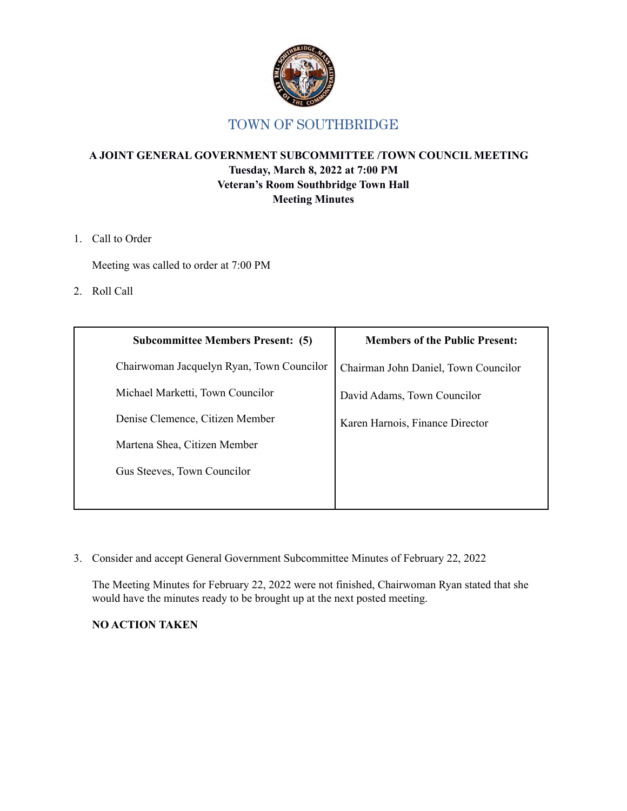

#### **A JOINT GENERAL GOVERNMENT SUBCOMMITTEE /TOWN COUNCIL MEETING Tuesday, March 8, 2022 at 7:00 PM Veteran's Room Southbridge Town Hall Meeting Minutes**

1. Call to Order

Meeting was called to order at 7:00 PM

2. Roll Call

| <b>Subcommittee Members Present: (5)</b>  | <b>Members of the Public Present:</b> |
|-------------------------------------------|---------------------------------------|
| Chairwoman Jacquelyn Ryan, Town Councilor | Chairman John Daniel, Town Councilor  |
| Michael Marketti, Town Councilor          | David Adams, Town Councilor           |
| Denise Clemence, Citizen Member           | Karen Harnois, Finance Director       |
| Martena Shea, Citizen Member              |                                       |
| Gus Steeves, Town Councilor               |                                       |
|                                           |                                       |

3. Consider and accept General Government Subcommittee Minutes of February 22, 2022

The Meeting Minutes for February 22, 2022 were not finished, Chairwoman Ryan stated that she would have the minutes ready to be brought up at the next posted meeting.

#### **NO ACTION TAKEN**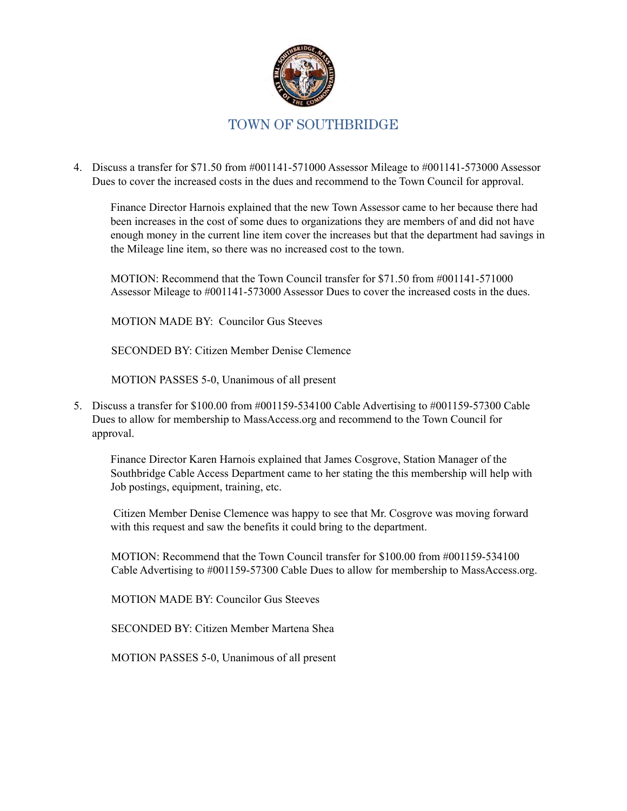

4. Discuss a transfer for \$71.50 from #001141-571000 Assessor Mileage to #001141-573000 Assessor Dues to cover the increased costs in the dues and recommend to the Town Council for approval.

Finance Director Harnois explained that the new Town Assessor came to her because there had been increases in the cost of some dues to organizations they are members of and did not have enough money in the current line item cover the increases but that the department had savings in the Mileage line item, so there was no increased cost to the town.

MOTION: Recommend that the Town Council transfer for \$71.50 from #001141-571000 Assessor Mileage to #001141-573000 Assessor Dues to cover the increased costs in the dues.

MOTION MADE BY: Councilor Gus Steeves

SECONDED BY: Citizen Member Denise Clemence

MOTION PASSES 5-0, Unanimous of all present

5. Discuss a transfer for \$100.00 from #001159-534100 Cable Advertising to #001159-57300 Cable Dues to allow for membership to MassAccess.org and recommend to the Town Council for approval.

Finance Director Karen Harnois explained that James Cosgrove, Station Manager of the Southbridge Cable Access Department came to her stating the this membership will help with Job postings, equipment, training, etc.

Citizen Member Denise Clemence was happy to see that Mr. Cosgrove was moving forward with this request and saw the benefits it could bring to the department.

MOTION: Recommend that the Town Council transfer for \$100.00 from #001159-534100 Cable Advertising to #001159-57300 Cable Dues to allow for membership to MassAccess.org.

MOTION MADE BY: Councilor Gus Steeves

SECONDED BY: Citizen Member Martena Shea

MOTION PASSES 5-0, Unanimous of all present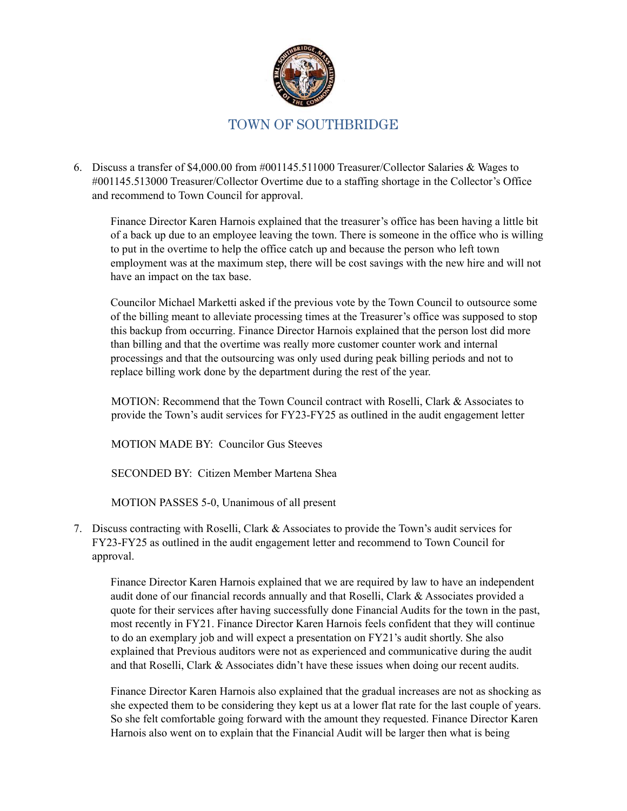

6. Discuss a transfer of \$4,000.00 from #001145.511000 Treasurer/Collector Salaries & Wages to #001145.513000 Treasurer/Collector Overtime due to a staffing shortage in the Collector's Office and recommend to Town Council for approval.

Finance Director Karen Harnois explained that the treasurer's office has been having a little bit of a back up due to an employee leaving the town. There is someone in the office who is willing to put in the overtime to help the office catch up and because the person who left town employment was at the maximum step, there will be cost savings with the new hire and will not have an impact on the tax base.

Councilor Michael Marketti asked if the previous vote by the Town Council to outsource some of the billing meant to alleviate processing times at the Treasurer's office was supposed to stop this backup from occurring. Finance Director Harnois explained that the person lost did more than billing and that the overtime was really more customer counter work and internal processings and that the outsourcing was only used during peak billing periods and not to replace billing work done by the department during the rest of the year.

MOTION: Recommend that the Town Council contract with Roselli, Clark & Associates to provide the Town's audit services for FY23-FY25 as outlined in the audit engagement letter

MOTION MADE BY: Councilor Gus Steeves

SECONDED BY: Citizen Member Martena Shea

MOTION PASSES 5-0, Unanimous of all present

7. Discuss contracting with Roselli, Clark & Associates to provide the Town's audit services for FY23-FY25 as outlined in the audit engagement letter and recommend to Town Council for approval.

Finance Director Karen Harnois explained that we are required by law to have an independent audit done of our financial records annually and that Roselli, Clark & Associates provided a quote for their services after having successfully done Financial Audits for the town in the past, most recently in FY21. Finance Director Karen Harnois feels confident that they will continue to do an exemplary job and will expect a presentation on FY21's audit shortly. She also explained that Previous auditors were not as experienced and communicative during the audit and that Roselli, Clark & Associates didn't have these issues when doing our recent audits.

Finance Director Karen Harnois also explained that the gradual increases are not as shocking as she expected them to be considering they kept us at a lower flat rate for the last couple of years. So she felt comfortable going forward with the amount they requested. Finance Director Karen Harnois also went on to explain that the Financial Audit will be larger then what is being